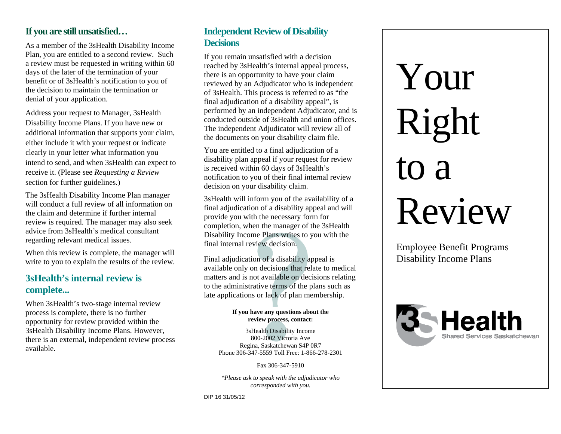#### **If you are still unsatisfied…**

As a member of the 3sHealth Disability Income Plan, you are entitled to a second review. Such a review must be requested in writing within 60 days of the later of the termination of your benefit or of 3sHealth's notification to you of the decision to maintain the termination or denial of your application.

Address your request to Manager, 3sHealth Disability Income Plans. If you have new or additional information that supports your claim, either include it with your request or indicate clearly in your letter what information you intend to send, and when 3sHealth can expect to receive it. (Please see *Requesting a Review* section for further guidelines.)

The 3sHealth Disability Income Plan manager will conduct a full review of all information on the claim and determine if further internal review is required. The manager may also seek advice from 3sHealth's medical consultant regarding relevant medical issues.

When this review is complete, the manager will write to you to explain the results of the review.

#### **3sHealth's internal review is complete...**

When 3sHealth's two-stage internal review process is complete, there is no further opportunity for review provided within the 3sHealth Disability Income Plans. However, there is an external, independent review process available.

#### **Independent Review of Disability Decisions**

If you remain unsatisfied with a decision reached by 3sHealth's internal appeal process, there is an opportunity to have your claim reviewed by an Adjudicator who is independent of 3sHealth. This process is referred to as "the final adjudication of a disability appeal", is performed by an independent Adjudicator, and is conducted outside of 3sHealth and union offices. The independent Adjudicator will review all of the documents on your disability claim file.

You are entitled to a final adjudication of a disability plan appeal if your request for review is received within 60 days of 3sHealth's notification to you of their final internal review decision on your disability claim.

3sHealth will inform you of the availability of a final adjudication of a disability appeal and will provide you with the necessary form for completion, when the manager of the 3sHealth Disability Income Plans writes to you with the final internal review decision.

Final adjudication of a disability appeal is available only on decisions that relate to medical matters and is not available on decisions relating to the administrative terms of the plans such as late applications or lack of plan membership.

#### **If you have any questions about the review process, contact:**

3sHealth Disability Income 800-2002 Victoria Ave Regina, Saskatchewan S4P 0R7 Phone 306-347-5559 Toll Free: 1-866-278-2301

Fax 306-347-5910

*\*Please ask to speak with the adjudicator who corresponded with you.*

DIP 16 31/05/12

# Your Right to a Review

Employee Benefit Programs Disability Income Plans